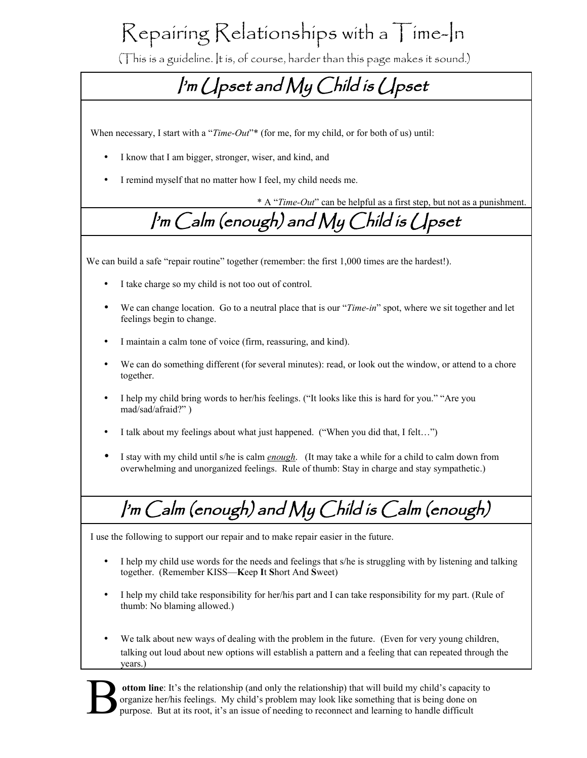## Repairing Relationships with a Time-In

(This is a guideline. It is, of course, harder than this page makes it sound.)

## I'm Upset and My Child is Upset

When necessary, I start with a "*Time-Out*"\* (for me, for my child, or for both of us) until:

- I know that I am bigger, stronger, wiser, and kind, and
- I remind myself that no matter how I feel, my child needs me.

\* A "*Time-Out*" can be helpful as a first step, but not as a punishment.

## I'm Calm (enough) and My Child is Upset

We can build a safe "repair routine" together (remember: the first 1,000 times are the hardest!).

- I take charge so my child is not too out of control.
- We can change location. Go to a neutral place that is our "*Time-in*" spot, where we sit together and let feelings begin to change.
- I maintain a calm tone of voice (firm, reassuring, and kind).
- We can do something different (for several minutes): read, or look out the window, or attend to a chore together.
- I help my child bring words to her/his feelings. ("It looks like this is hard for you." "Are you mad/sad/afraid?" )
- I talk about my feelings about what just happened. ("When you did that, I felt...")
- I stay with my child until s/he is calm *enough*. (It may take a while for a child to calm down from overwhelming and unorganized feelings. Rule of thumb: Stay in charge and stay sympathetic.)

## I'm Calm (enough) and My Child is Calm (enough)

I use the following to support our repair and to make repair easier in the future.

- I help my child use words for the needs and feelings that s/he is struggling with by listening and talking together. (Remember KISS—**K**eep **I**t **S**hort And **S**weet)
- I help my child take responsibility for her/his part and I can take responsibility for my part. (Rule of thumb: No blaming allowed.)
- We talk about new ways of dealing with the problem in the future. (Even for very young children, talking out loud about new options will establish a pattern and a feeling that can repeated through the years.)



**ottom line**: It's the relationship (and only the relationship) that will build my child's capacity to organize her/his feelings. My child's problem may look like something that is being done on purpose. But at its root, it's an issue of needing to reconnect and learning to handle difficult